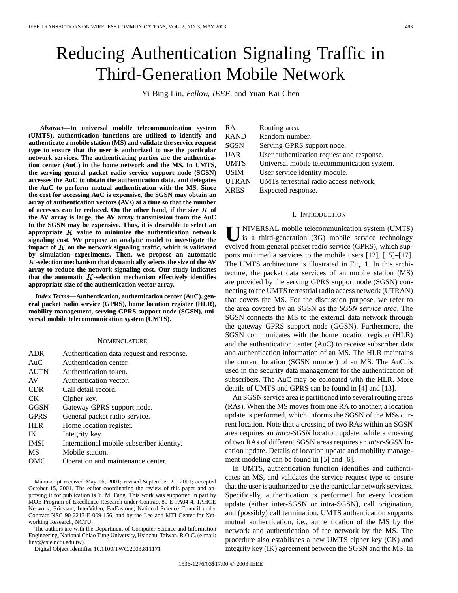# Reducing Authentication Signaling Traffic in Third-Generation Mobile Network

Yi-Bing Lin*, Fellow, IEEE,* and Yuan-Kai Chen

*Abstract—***In universal mobile telecommunication system (UMTS), authentication functions are utilized to identify and authenticate a mobile station (MS) and validate the service request type to ensure that the user is authorized to use the particular network services. The authenticating parties are the authentication center (AuC) in the home network and the MS. In UMTS, the serving general packet radio service support node (SGSN) accesses the AuC to obtain the authentication data, and delegates the AuC to perform mutual authentication with the MS. Since the cost for accessing AuC is expensive, the SGSN may obtain an array of authentication vectors (AVs) at a time so that the number** of accesses can be reduced. On the other hand, if the size  $K$  of **the AV array is large, the AV array transmission from the AuC to the SGSN may be expensive. Thus, it is desirable to select an** appropriate  $K$  value to minimize the authentication network **signaling cost. We propose an analytic model to investigate the** impact of  $K$  on the network signaling traffic, which is validated **by simulation experiments. Then, we propose an automatic -selection mechanism that dynamically selects the size of the AV array to reduce the network signaling cost. Our study indicates** that the automatic  $K$ -selection mechanism effectively identifies **appropriate size of the authentication vector array.**

*Index Terms—***Authentication, authentication center (AuC), general packet radio service (GPRS), home location register (HLR), mobility management, serving GPRS support node (SGSN), universal mobile telecommunication system (UMTS).**

#### **NOMENCLATURE**

| <b>ADR</b>  | Authentication data request and response. |
|-------------|-------------------------------------------|
| AuC         | Authentication center.                    |
| <b>AUTN</b> | Authentication token.                     |
| AV          | Authentication vector.                    |
| <b>CDR</b>  | Call detail record.                       |
| CK.         | Cipher key.                               |
| GGSN        | Gateway GPRS support node.                |
| <b>GPRS</b> | General packet radio service.             |
| <b>HLR</b>  | Home location register.                   |
| IK          | Integrity key.                            |
| <b>IMSI</b> | International mobile subscriber identity. |
| MS          | Mobile station.                           |
| OMC         | Operation and maintenance center.         |

Manuscript received May 16, 2001; revised September 21, 2001; accepted October 15, 2001. The editor coordinating the review of this paper and approving it for publication is Y. M. Fang. This work was supported in part by MOE Program of Excellence Research under Contract 89-E-FA04-4, TAHOE Network, Ericsson, InterVideo, FarEastone, National Science Council under Contract NSC 90-2213-E-009-156, and by the Lee and MTI Center for Networking Research, NCTU.

The authors are with the Department of Computer Science and Information Engineering, National Chiao Tung University, Hsinchu, Taiwan, R.O.C. (e-mail: liny@csie.nctu.edu.tw).

Digital Object Identifier 10.1109/TWC.2003.811171

| <b>RA</b>    | Routing area.                              |
|--------------|--------------------------------------------|
| <b>RAND</b>  | Random number.                             |
| <b>SGSN</b>  | Serving GPRS support node.                 |
| <b>UAR</b>   | User authentication request and response.  |
| <b>UMTS</b>  | Universal mobile telecommunication system. |
| <b>USIM</b>  | User service identity module.              |
| <b>UTRAN</b> | UMTs terrestrial radio access network.     |
| <b>XRES</b>  | Expected response.                         |

## I. INTRODUCTION

UNIVERSAL mobile telecommunication system (UMTS)<br>is a third-generation (3G) mobile service technology<br>system concerned poster radio service (CDDS) which sup evolved from general packet radio service (GPRS), which supports multimedia services to the mobile users [12], [15]–[17]. The UMTS architecture is illustrated in Fig. 1. In this architecture, the packet data services of an mobile station (MS) are provided by the serving GPRS support node (SGSN) connecting to the UMTS terrestrial radio access network (UTRAN) that covers the MS. For the discussion purpose, we refer to the area covered by an SGSN as the *SGSN service area*. The SGSN connects the MS to the external data network through the gateway GPRS support node (GGSN). Furthermore, the SGSN communicates with the home location register (HLR) and the authentication center (AuC) to receive subscriber data and authentication information of an MS. The HLR maintains the current location (SGSN number) of an MS. The AuC is used in the security data management for the authentication of subscribers. The AuC may be colocated with the HLR. More details of UMTS and GPRS can be found in [4] and [13].

An SGSN service area is partitioned into several routing areas (RAs). When the MS moves from one RA to another, a location update is performed, which informs the SGSN of the MSs current location. Note that a crossing of two RAs within an SGSN area requires an *intra-SGSN* location update, while a crossing of two RAs of different SGSN areas requires an *inter-SGSN* location update. Details of location update and mobility management modeling can be found in [5] and [6].

In UMTS, authentication function identifies and authenticates an MS, and validates the service request type to ensure that the user is authorized to use the particular network services. Specifically, authentication is performed for every location update (either inter-SGSN or intra-SGSN), call origination, and (possibly) call termination. UMTS authentication supports mutual authentication, i.e., authentication of the MS by the network and authentication of the network by the MS. The procedure also establishes a new UMTS cipher key (CK) and integrity key (IK) agreement between the SGSN and the MS. In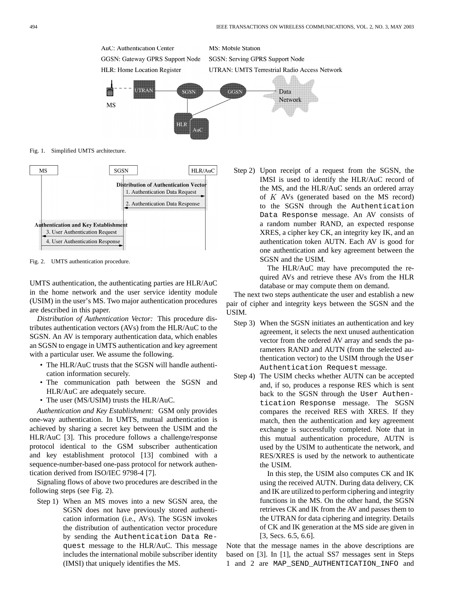

Fig. 1. Simplified UMTS architecture.



Fig. 2. UMTS authentication procedure.

UMTS authentication, the authenticating parties are HLR/AuC in the home network and the user service identity module (USIM) in the user's MS. Two major authentication procedures are described in this paper.

*Distribution of Authentication Vector:* This procedure distributes authentication vectors (AVs) from the HLR/AuC to the SGSN. An AV is temporary authentication data, which enables an SGSN to engage in UMTS authentication and key agreement with a particular user. We assume the following.

- The HLR/AuC trusts that the SGSN will handle authentication information securely.
- The communication path between the SGSN and HLR/AuC are adequately secure.
- The user (MS/USIM) trusts the HLR/AuC.

*Authentication and Key Establishment:* GSM only provides one-way authentication. In UMTS, mutual authentication is achieved by sharing a secret key between the USIM and the HLR/AuC [3]. This procedure follows a challenge/response protocol identical to the GSM subscriber authentication and key establishment protocol [13] combined with a sequence-number-based one-pass protocol for network authentication derived from ISO/IEC 9798-4 [7].

Signaling flows of above two procedures are described in the following steps (see Fig. 2).

Step 1) When an MS moves into a new SGSN area, the SGSN does not have previously stored authentication information (i.e., AVs). The SGSN invokes the distribution of authentication vector procedure by sending the Authentication Data Request message to the HLR/AuC. This message includes the international mobile subscriber identity (IMSI) that uniquely identifies the MS.

Step 2) Upon receipt of a request from the SGSN, the IMSI is used to identify the HLR/AuC record of the MS, and the HLR/AuC sends an ordered array of  $K$  AVs (generated based on the MS record) to the SGSN through the Authentication Data Response message. An AV consists of a random number RAND, an expected response XRES, a cipher key CK, an integrity key IK, and an authentication token AUTN. Each AV is good for one authentication and key agreement between the SGSN and the USIM.

> The HLR/AuC may have precomputed the required AVs and retrieve these AVs from the HLR database or may compute them on demand.

The next two steps authenticate the user and establish a new pair of cipher and integrity keys between the SGSN and the USIM.

- Step 3) When the SGSN initiates an authentication and key agreement, it selects the next unused authentication vector from the ordered AV array and sends the parameters RAND and AUTN (from the selected authentication vector) to the USIM through the User Authentication Request message.
- Step 4) The USIM checks whether AUTN can be accepted and, if so, produces a response RES which is sent back to the SGSN through the User Authentication Response message. The SGSN compares the received RES with XRES. If they match, then the authentication and key agreement exchange is successfully completed. Note that in this mutual authentication procedure, AUTN is used by the USIM to authenticate the network, and RES/XRES is used by the network to authenticate the USIM.

In this step, the USIM also computes CK and IK using the received AUTN. During data delivery, CK and IK are utilized to perform ciphering and integrity functions in the MS. On the other hand, the SGSN retrieves CK and IK from the AV and passes them to the UTRAN for data ciphering and integrity. Details of CK and IK generation at the MS side are given in [3, Secs. 6.5, 6.6].

Note that the message names in the above descriptions are based on [3]. In [1], the actual SS7 messages sent in Steps 1 and 2 are MAP\_SEND\_AUTHENTICATION\_INFO and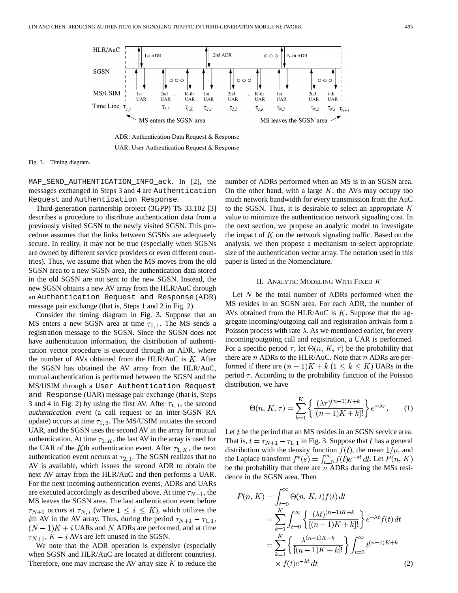

ADR: Authentication Data Request & Response UAR: User Authentication Request & Response

Fig. 3. Timing diagram.

MAP\_SEND\_AUTHENTICATION\_INFO\_ack. In [2], the messages exchanged in Steps 3 and 4 are Authentication Request and Authentication Response.

Third-generation partnership project (3GPP) TS 33.102 [3] describes a procedure to distribute authentication data from a previously visited SGSN to the newly visited SGSN. This procedure assumes that the links between SGSNs are adequately secure. In reality, it may not be true (especially when SGSNs are owned by different service providers or even different countries). Thus, we assume that when the MS moves from the old SGSN area to a new SGSN area, the authentication data stored in the old SGSN are not sent to the new SGSN. Instead, the new SGSN obtains a new AV array from the HLR/AuC through an Authentication Request and Response (ADR) message pair exchange (that is, Steps 1 and 2 in Fig. 2).

Consider the timing diagram in Fig. 3. Suppose that an MS enters a new SGSN area at time  $\tau_{1,1}$ . The MS sends a registration message to the SGSN. Since the SGSN does not have authentication information, the distribution of authentication vector procedure is executed through an ADR, where the number of AVs obtained from the HLR/AuC is  $K$ . After the SGSN has obtained the AV array from the HLR/AuC, mutual authentication is performed between the SGSN and the MS/USIM through a User Authentication Request and Response (UAR) message pair exchange (that is, Steps 3 and 4 in Fig. 2) by using the first AV. After  $\tau_{1,1}$ , the second *authentication event* (a call request or an inter-SGSN RA update) occurs at time  $\tau_{1,2}$ . The MS/USIM initiates the second UAR, and the SGSN uses the second AV in the array for mutual authentication. At time  $\tau_{1,K}$ , the last AV in the array is used for the UAR of the K<sup>th</sup> authentication event. After  $\tau_{1,K}$ , the next authentication event occurs at  $\tau_{2,1}$ . The SGSN realizes that no AV is available, which issues the second ADR to obtain the next AV array from the HLR/AuC and then performs a UAR. For the next incoming authentication events, ADRs and UARs are executed accordingly as described above. At time  $\tau_{N+1}$ , the MS leaves the SGSN area. The last authentication event before  $\tau_{N+1}$  occurs at  $\tau_{N,i}$  (where  $1 \leq i \leq K$ ), which utilizes the ith AV in the AV array. Thus, during the period  $\tau_{N+1} - \tau_{1,1}$ ,  $(N-1)K + i$  UARs and N ADRs are performed, and at time  $\tau_{N+1}$ ,  $K - i$  AVs are left unused in the SGSN.

We note that the ADR operation is expensive (especially when SGSN and HLR/AuC are located at different countries). Therefore, one may increase the AV array size  $K$  to reduce the number of ADRs performed when an MS is in an SGSN area. On the other hand, with a large  $K$ , the AVs may occupy too much network bandwidth for every transmission from the AuC to the SGSN. Thus, it is desirable to select an appropriate  $K$ value to minimize the authentication network signaling cost. In the next section, we propose an analytic model to investigate the impact of  $K$  on the network signaling traffic. Based on the analysis, we then propose a mechanism to select appropriate size of the authentication vector array. The notation used in this paper is listed in the Nomenclature.

#### II. ANALYTIC MODELING WITH FIXED  $K$

Let  $N$  be the total number of ADRs performed when the MS resides in an SGSN area. For each ADR, the number of AVs obtained from the HLR/AuC is  $K$ . Suppose that the aggregate incoming/outgoing call and registration arrivals form a Poisson process with rate  $\lambda$ . As we mentioned earlier, for every incoming/outgoing call and registration, a UAR is performed. For a specific period  $\tau$ , let  $\Theta(n, K, \tau)$  be the probability that there are  $n$  ADRs to the HLR/AuC. Note that  $n$  ADRs are performed if there are  $(n-1)K + k$   $(1 \leq k \leq K)$  UARs in the period  $\tau$ . According to the probability function of the Poisson distribution, we have

$$
\Theta(n, K, \tau) = \sum_{k=1}^{K} \left\{ \frac{(\lambda \tau)^{(n-1)K + k}}{[(n-1)K + k]!} \right\} e^{-\lambda \tau}.
$$
 (1)

Let  $t$  be the period that an MS resides in an SGSN service area. That is,  $t = \tau_{N+1} - \tau_{1,1}$  in Fig. 3. Suppose that t has a general distribution with the density function  $f(t)$ , the mean  $1/\mu$ , and the Laplace transform  $f^*(s) = \int_{t=0}^{\infty} f(t)e^{-st} dt$ . Let  $P(n, K)$ be the probability that there are  $n$  ADRs during the MSs residence in the SGSN area. Then

$$
P(n, K) = \int_{t=0}^{\infty} \Theta(n, K, t) f(t) dt
$$
  
= 
$$
\sum_{k=1}^{K} \int_{t=0}^{\infty} \left\{ \frac{(\lambda t)^{(n-1)K+k}}{[(n-1)K+k]!} \right\} e^{-\lambda t} f(t) dt
$$
  
= 
$$
\sum_{k=1}^{K} \left\{ \frac{\lambda^{(n-1)K+k}}{[(n-1)K+k]!} \right\} \int_{t=0}^{\infty} t^{(n-1)K+k}
$$
  
×  $f(t)e^{-\lambda t} dt$  (2)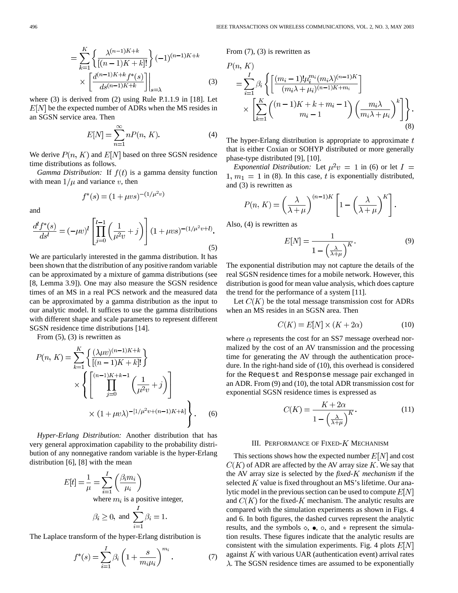$$
= \sum_{k=1}^{K} \left\{ \frac{\lambda^{(n-1)K+k}}{[(n-1)K+k]!} \right\} (-1)^{(n-1)K+k} \times \left[ \frac{d^{(n-1)K+k}f^*(s)}{ds^{(n-1)K+k}} \right] \Big|_{s=\lambda}
$$
 (3)

where (3) is derived from (2) using Rule P.1.1.9 in [18]. Let  $E[N]$  be the expected number of ADRs when the MS resides in an SGSN service area. Then

$$
E[N] = \sum_{n=1}^{\infty} nP(n, K). \tag{4}
$$

We derive  $P(n, K)$  and  $E[N]$  based on three SGSN residence time distributions as follows.

*Gamma Distribution:* If  $f(t)$  is a gamma density function with mean  $1/\mu$  and variance v, then

$$
f^*(s) = (1 + \mu vs)^{-(1/\mu^2 v)}
$$

and

$$
\frac{d^l f^*(s)}{ds^l} = (-\mu v)^l \left[ \prod_{j=0}^{l-1} \left( \frac{1}{\mu^2 v} + j \right) \right] (1 + \mu v s)^{-(1/\mu^2 v + l)}.
$$
\n(5)

We are particularly interested in the gamma distribution. It has been shown that the distribution of any positive random variable can be approximated by a mixture of gamma distributions (see [8, Lemma 3.9]). One may also measure the SGSN residence times of an MS in a real PCS network and the measured data can be approximated by a gamma distribution as the input to our analytic model. It suffices to use the gamma distributions with different shape and scale parameters to represent different SGSN residence time distributions [14].

From  $(5)$ ,  $(3)$  is rewritten as

$$
P(n, K) = \sum_{k=1}^{K} \left\{ \frac{(\lambda \mu v)^{(n-1)K+k}}{[(n-1)K+k]!} \right\}
$$

$$
\times \left\{ \left[ \prod_{j=0}^{(n-1)K+k-1} \left( \frac{1}{\mu^2 v} + j \right) \right] \right\}
$$

$$
\times (1 + \mu v \lambda)^{-[1/\mu^2 v + (n-1)K+k]} \right\}.
$$
 (6)

*Hyper-Erlang Distribution:* Another distribution that has very general approximation capability to the probability distribution of any nonnegative random variable is the hyper-Erlang distribution [6], [8] with the mean

$$
E[t] = \frac{1}{\mu} = \sum_{i=1}^{I} \left( \frac{\beta_i m_i}{\mu_i} \right)
$$
  
where  $m_i$  is a positive integer,

$$
\beta_i \ge 0, \text{ and } \sum_{i=1}^I \beta_i = 1.
$$

The Laplace transform of the hyper-Erlang distribution is

$$
f^*(s) = \sum_{i=1}^{I} \beta_i \left( 1 + \frac{s}{m_i \mu_i} \right)^{m_i}.
$$
 (7)

From (7), (3) is rewritten as

$$
P(n, K)
$$
  
= 
$$
\sum_{i=1}^{I} \beta_i \left\{ \left[ \frac{(m_i - 1)! \mu_i^{m_i} (m_i \lambda)^{(n-1)K}}{(m_i \lambda + \mu_i)^{(n-1)K + m_i}} \right] \times \left[ \sum_{k=1}^{K} \binom{(n-1)K + k + m_i - 1}{m_i - 1} \left( \frac{m_i \lambda}{m_i \lambda + \mu_i} \right)^k \right] \right\}.
$$
  
(8)

The hyper-Erlang distribution is appropriate to approximate  $t$ that is either Coxian or SOHYP distributed or more generally phase-type distributed [9], [10].

*Exponential Distribution:* Let  $\mu^2 v = 1$  in (6) or let  $I =$  $1, m_1 = 1$  in (8). In this case, t is exponentially distributed, and (3) is rewritten as

$$
P(n, K) = \left(\frac{\lambda}{\lambda + \mu}\right)^{(n-1)K} \left[1 - \left(\frac{\lambda}{\lambda + \mu}\right)^K\right].
$$

Also, (4) is rewritten as

$$
E[N] = \frac{1}{1 - \left(\frac{\lambda}{\lambda + \mu}\right)^K}.
$$
\n(9)

The exponential distribution may not capture the details of the real SGSN residence times for a mobile network. However, this distribution is good for mean value analysis, which does capture the trend for the performance of a system [11].

Let  $C(K)$  be the total message transmission cost for ADRs when an MS resides in an SGSN area. Then

$$
C(K) = E[N] \times (K + 2\alpha) \tag{10}
$$

where  $\alpha$  represents the cost for an SS7 message overhead normalized by the cost of an AV transmission and the processing time for generating the AV through the authentication procedure. In the right-hand side of (10), this overhead is considered for the Request and Response message pair exchanged in an ADR. From (9) and (10), the total ADR transmission cost for exponential SGSN residence times is expressed as

$$
C(K) = \frac{K + 2\alpha}{1 - \left(\frac{\lambda}{\lambda + \mu}\right)^K}.
$$
\n(11)

### III. PERFORMANCE OF FIXED- $K$  MECHANISM

This sections shows how the expected number  $E[N]$  and cost  $C(K)$  of ADR are affected by the AV array size K. We say that the AV array size is selected by the *fixed- mechanism* if the selected  $K$  value is fixed throughout an MS's lifetime. Our analytic model in the previous section can be used to compute  $E[N]$ and  $C(K)$  for the fixed-K mechanism. The analytic results are compared with the simulation experiments as shown in Figs. 4 and 6. In both figures, the dashed curves represent the analytic results, and the symbols  $\diamond$ ,  $\bullet$ ,  $\diamond$ , and  $*$  represent the simulation results. These figures indicate that the analytic results are consistent with the simulation experiments. Fig. 4 plots  $E[N]$ against  $K$  with various UAR (authentication event) arrival rates  $\lambda$ . The SGSN residence times are assumed to be exponentially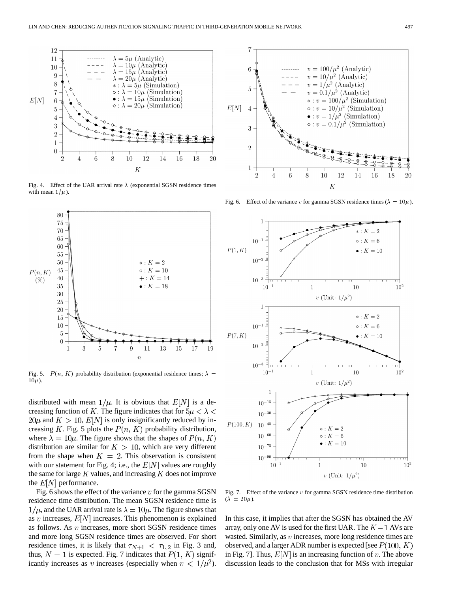

Fig. 4. Effect of the UAR arrival rate  $\lambda$  (exponential SGSN residence times with mean  $1/\mu$ ).



Fig. 5.  $P(n, K)$  probability distribution (exponential residence times;  $\lambda =$  $10\mu$ ).

distributed with mean  $1/\mu$ . It is obvious that  $E[N]$  is a decreasing function of K. The figure indicates that for  $5\mu < \lambda <$  $20\mu$  and  $K > 10$ ,  $E[N]$  is only insignificantly reduced by increasing K. Fig. 5 plots the  $P(n, K)$  probability distribution, where  $\lambda = 10\mu$ . The figure shows that the shapes of  $P(n, K)$ distribution are similar for  $K > 10$ , which are very different from the shape when  $K = 2$ . This observation is consistent with our statement for Fig. 4; i.e., the  $E[N]$  values are roughly the same for large  $K$  values, and increasing  $K$  does not improve the  $E[N]$  performance.

Fig. 6 shows the effect of the variance  $v$  for the gamma SGSN residence time distribution. The mean SGSN residence time is  $1/\mu$ , and the UAR arrival rate is  $\lambda = 10\mu$ . The figure shows that as  $v$  increases,  $E[N]$  increases. This phenomenon is explained as follows. As  $v$  increases, more short SGSN residence times and more long SGSN residence times are observed. For short residence times, it is likely that  $\tau_{N+1} < \tau_{1,2}$  in Fig. 3 and, thus,  $N = 1$  is expected. Fig. 7 indicates that  $P(1, K)$  significantly increases as v increases (especially when  $v < 1/\mu^2$ ).



Fig. 6. Effect of the variance v for gamma SGSN residence times ( $\lambda = 10\mu$ ).



Fig. 7. Effect of the variance  $v$  for gamma SGSN residence time distribution  $(\lambda = 20\mu)$ .

In this case, it implies that after the SGSN has obtained the AV array, only one AV is used for the first UAR. The  $K-1$  AVs are wasted. Similarly, as  $v$  increases, more long residence times are observed, and a larger ADR number is expected [see  $P(100, K)$ in Fig. 7]. Thus,  $E[N]$  is an increasing function of v. The above discussion leads to the conclusion that for MSs with irregular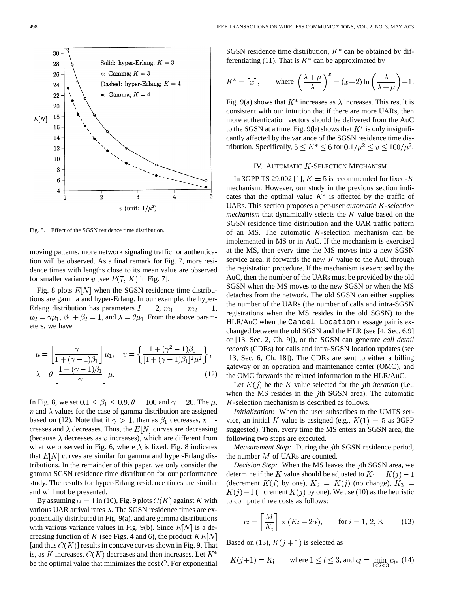

Fig. 8. Effect of the SGSN residence time distribution.

moving patterns, more network signaling traffic for authentication will be observed. As a final remark for Fig. 7, more residence times with lengths close to its mean value are observed for smaller variance v [see  $P(7, K)$  in Fig. 7].

Fig. 8 plots  $E[N]$  when the SGSN residence time distributions are gamma and hyper-Erlang. In our example, the hyper-Erlang distribution has parameters  $I = 2, m_1 = m_2 = 1$ ,  $\mu_2 = \gamma \mu_1, \beta_1 + \beta_2 = 1$ , and  $\lambda = \theta \mu_1$ . From the above parameters, we have

$$
\mu = \left[\frac{\gamma}{1 + (\gamma - 1)\beta_1}\right] \mu_1, \quad v = \left\{\frac{1 + (\gamma^2 - 1)\beta_1}{[1 + (\gamma - 1)\beta_1]^2 \mu^2}\right\},\
$$

$$
\lambda = \theta \left[\frac{1 + (\gamma - 1)\beta_1}{\gamma}\right] \mu.
$$
(12)

In Fig. 8, we set  $0.1 \le \beta_1 \le 0.9$ ,  $\theta = 100$  and  $\gamma = 20$ . The  $\mu$ ,  $v$  and  $\lambda$  values for the case of gamma distribution are assigned based on (12). Note that if  $\gamma > 1$ , then as  $\beta_1$  decreases, v increases and  $\lambda$  decreases. Thus, the  $E[N]$  curves are decreasing (because  $\lambda$  decreases as v increases), which are different from what we observed in Fig. 6, where  $\lambda$  is fixed. Fig. 8 indicates that  $E[N]$  curves are similar for gamma and hyper-Erlang distributions. In the remainder of this paper, we only consider the gamma SGSN residence time distribution for our performance study. The results for hyper-Erlang residence times are similar and will not be presented.

By assuming  $\alpha = 1$  in (10), Fig. 9 plots  $C(K)$  against K with various UAR arrival rates  $\lambda$ . The SGSN residence times are exponentially distributed in Fig. 9(a), and are gamma distributions with various variance values in Fig. 9(b). Since  $E[N]$  is a decreasing function of K (see Figs. 4 and 6), the product  $KE[N]$ [and thus  $C(K)$ ] results in concave curves shown in Fig. 9. That is, as K increases,  $C(K)$  decreases and then increases. Let  $K^*$ be the optimal value that minimizes the cost  $C$ . For exponential SGSN residence time distribution,  $K^*$  can be obtained by differentiating (11). That is  $K^*$  can be approximated by

$$
K^* = \lceil x \rceil, \qquad \text{where } \left(\frac{\lambda + \mu}{\lambda}\right)^x = (x+2)\ln\left(\frac{\lambda}{\lambda + \mu}\right) + 1.
$$

Fig. 9(a) shows that  $K^*$  increases as  $\lambda$  increases. This result is consistent with our intuition that if there are more UARs, then more authentication vectors should be delivered from the AuC to the SGSN at a time. Fig. 9(b) shows that  $K^*$  is only insignificantly affected by the variance of the SGSN residence time distribution. Specifically,  $5 \le K^* \le 6$  for  $0.1/\mu^2 \le v \le 100/\mu^2$ .

## IV. AUTOMATIC  $K$ -SELECTION MECHANISM

In 3GPP TS 29.002 [1],  $K = 5$  is recommended for fixed-K mechanism. However, our study in the previous section indicates that the optimal value  $K^*$  is affected by the traffic of UARs. This section proposes a per-user *automatic K*-selection *mechanism* that dynamically selects the  $K$  value based on the SGSN residence time distribution and the UAR traffic pattern of an MS. The automatic  $K$ -selection mechanism can be implemented in MS or in AuC. If the mechanism is exercised at the MS, then every time the MS moves into a new SGSN service area, it forwards the new  $K$  value to the AuC through the registration procedure. If the mechanism is exercised by the AuC, then the number of the UARs must be provided by the old SGSN when the MS moves to the new SGSN or when the MS detaches from the network. The old SGSN can either supplies the number of the UARs (the number of calls and intra-SGSN registrations when the MS resides in the old SGSN) to the HLR/AuC when the Cancel Location message pair is exchanged between the old SGSN and the HLR (see [4, Sec. 6.9] or [13, Sec. 2, Ch. 9]), or the SGSN can generate *call detail records* (CDRs) for calls and intra-SGSN location updates (see [13, Sec. 6, Ch. 18]). The CDRs are sent to either a billing gateway or an operation and maintenance center (OMC), and the OMC forwards the related information to the HLR/AuC.

Let  $K(j)$  be the K value selected for the *j*th *iteration* (i.e., when the MS resides in the  $j$ th SGSN area). The automatic K-selection mechanism is described as follows.

*Initialization:* When the user subscribes to the UMTS service, an initial K value is assigned (e.g.,  $K(1) = 5$  as 3GPP suggested). Then, every time the MS enters an SGSN area, the following two steps are executed.

*Measurement Step:* During the jth SGSN residence period, the number  $M$  of UARs are counted.

*Decision Step:* When the MS leaves the jth SGSN area, we determine if the K value should be adjusted to  $K_1 = K(j) - 1$ (decrement  $K(j)$  by one),  $K_2 = K(j)$  (no change),  $K_3 =$  $K(j) + 1$  (increment  $K(j)$  by one). We use (10) as the heuristic to compute three costs as follows:

$$
c_i = \left\lceil \frac{M}{K_i} \right\rceil \times (K_i + 2\alpha), \qquad \text{for } i = 1, 2, 3. \tag{13}
$$

Based on (13),  $K(j + 1)$  is selected as

$$
K(j+1) = K_l
$$
 where  $1 \le l \le 3$ , and  $c_l = \min_{1 \le i \le 3} c_i$ . (14)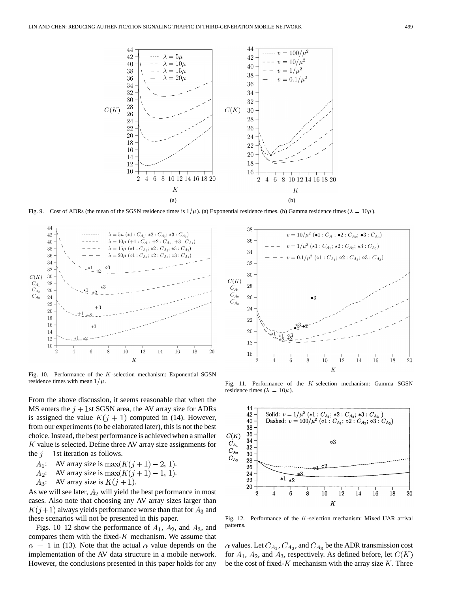

Fig. 9. Cost of ADRs (the mean of the SGSN residence times is  $1/\mu$ ). (a) Exponential residence times. (b) Gamma residence times ( $\lambda = 10\mu$ ).



Fig. 10. Performance of the K-selection mechanism: Exponential SGSN residence times with mean  $1/\mu$ .

From the above discussion, it seems reasonable that when the MS enters the  $j + 1$ st SGSN area, the AV array size for ADRs is assigned the value  $K(j + 1)$  computed in (14). However, from our experiments (to be elaborated later), this is not the best choice. Instead, the best performance is achieved when a smaller  $K$  value is selected. Define three AV array size assignments for the  $j + 1$ st iteration as follows.

- $A_1$ : AV array size is  $\max(K(j+1)-2, 1)$ .
- $A_2$ : AV array size is  $\max(K(j+1)-1, 1)$ .
- $A_3$ : AV array size is  $K(j+1)$ .

As we will see later,  $A_2$  will yield the best performance in most cases. Also note that choosing any AV array sizes larger than  $K(j+1)$  always yields performance worse than that for  $A_3$  and these scenarios will not be presented in this paper.

Figs. 10–12 show the performance of  $A_1$ ,  $A_2$ , and  $A_3$ , and compares them with the fixed- $K$  mechanism. We assume that  $\alpha = 1$  in (13). Note that the actual  $\alpha$  value depends on the implementation of the AV data structure in a mobile network. However, the conclusions presented in this paper holds for any



Fig. 11. Performance of the K-selection mechanism: Gamma SGSN residence times ( $\lambda = 10\mu$ ).



Fig. 12. Performance of the K-selection mechanism: Mixed UAR arrival patterns.

 $\alpha$  values. Let  $C_{A_1}$ ,  $C_{A_2}$ , and  $C_{A_3}$  be the ADR transmission cost for  $A_1$ ,  $A_2$ , and  $A_3$ , respectively. As defined before, let  $C(K)$ be the cost of fixed- $K$  mechanism with the array size  $K$ . Three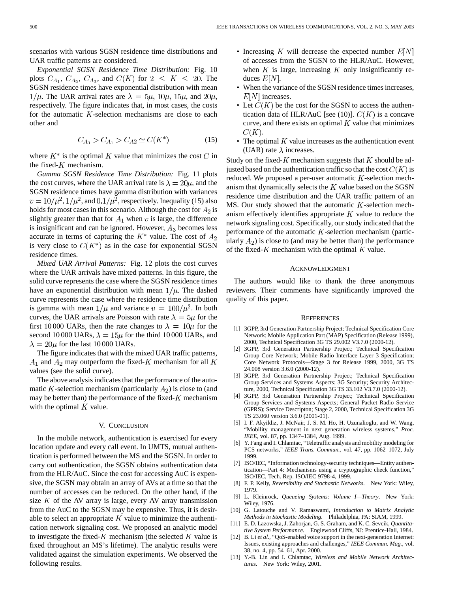scenarios with various SGSN residence time distributions and UAR traffic patterns are considered.

*Exponential SGSN Residence Time Distribution:* Fig. 10 plots  $C_{A_1}$ ,  $C_{A_2}$ ,  $C_{A_3}$ , and  $C(K)$  for  $2 \leq K \leq 20$ . The SGSN residence times have exponential distribution with mean  $1/\mu$ . The UAR arrival rates are  $\lambda = 5\mu$ ,  $10\mu$ ,  $15\mu$ , and  $20\mu$ , respectively. The figure indicates that, in most cases, the costs for the automatic  $K$ -selection mechanisms are close to each other and

$$
C_{A_3} > C_{A_1} > C_{A2} \simeq C(K^*)
$$
 (15)

where  $K^*$  is the optimal K value that minimizes the cost C in the fixed- $K$  mechanism.

*Gamma SGSN Residence Time Distribution:* Fig. 11 plots the cost curves, where the UAR arrival rate is  $\lambda = 20\mu$ , and the SGSN residence times have gamma distribution with variances  $v = 10/\mu^2$ ,  $1/\mu^2$ , and  $0.1/\mu^2$ , respectively. Inequality (15) also holds for most cases in this scenario. Although the cost for  $A_2$  is slightly greater than that for  $A_1$  when v is large, the difference is insignificant and can be ignored. However,  $A_3$  becomes less accurate in terms of capturing the  $K^*$  value. The cost of  $A_2$ is very close to  $C(K^*)$  as in the case for exponential SGSN residence times.

*Mixed UAR Arrival Patterns:* Fig. 12 plots the cost curves where the UAR arrivals have mixed patterns. In this figure, the solid curve represents the case where the SGSN residence times have an exponential distribution with mean  $1/\mu$ . The dashed curve represents the case where the residence time distribution is gamma with mean  $1/\mu$  and variance  $v = 100/\mu^2$ . In both curves, the UAR arrivals are Poisson with rate  $\lambda = 5\mu$  for the first 10000 UARs, then the rate changes to  $\lambda = 10\mu$  for the second 10 000 UARs,  $\lambda = 15\mu$  for the third 10 000 UARs, and  $\lambda = 20\mu$  for the last 10 000 UARs.

The figure indicates that with the mixed UAR traffic patterns,  $A_1$  and  $A_2$  may outperform the fixed-K mechanism for all K values (see the solid curve).

The above analysis indicates that the performance of the automatic K-selection mechanism (particularly  $A_2$ ) is close to (and may be better than) the performance of the fixed- $K$  mechanism with the optimal  $K$  value.

## V. CONCLUSION

In the mobile network, authentication is exercised for every location update and every call event. In UMTS, mutual authentication is performed between the MS and the SGSN. In order to carry out authentication, the SGSN obtains authentication data from the HLR/AuC. Since the cost for accessing AuC is expensive, the SGSN may obtain an array of AVs at a time so that the number of accesses can be reduced. On the other hand, if the size  $K$  of the AV array is large, every AV array transmission from the AuC to the SGSN may be expensive. Thus, it is desirable to select an appropriate  $K$  value to minimize the authentication network signaling cost. We proposed an analytic model to investigate the fixed- $K$  mechanism (the selected  $K$  value is fixed throughout an MS's lifetime). The analytic results were validated against the simulation experiments. We observed the following results.

- Increasing K will decrease the expected number  $E[N]$ of accesses from the SGSN to the HLR/AuC. However, when  $K$  is large, increasing  $K$  only insignificantly reduces  $E[N]$ .
- When the variance of the SGSN residence times increases,  $E[N]$  increases.
- Let  $C(K)$  be the cost for the SGSN to access the authentication data of HLR/AuC [see (10)].  $C(K)$  is a concave curve, and there exists an optimal  $K$  value that minimizes  $C(K).$
- The optimal  $K$  value increases as the authentication event (UAR) rate  $\lambda$  increases.

Study on the fixed- $K$  mechanism suggests that  $K$  should be adjusted based on the authentication traffic so that the cost  $C(K)$  is reduced. We proposed a per-user automatic  $K$ -selection mechanism that dynamically selects the  $K$  value based on the SGSN residence time distribution and the UAR traffic pattern of an MS. Our study showed that the automatic  $K$ -selection mechanism effectively identifies appropriate  $K$  value to reduce the network signaling cost. Specifically, our study indicated that the performance of the automatic  $K$ -selection mechanism (particularly  $A_2$ ) is close to (and may be better than) the performance of the fixed- $K$  mechanism with the optimal  $K$  value.

### ACKNOWLEDGMENT

The authors would like to thank the three anonymous reviewers. Their comments have significantly improved the quality of this paper.

#### **REFERENCES**

- [1] 3GPP, 3rd Generation Partnership Project; Technical Specification Core Network; Mobile Application Part (MAP) Specification (Release 1999), 2000, Technical Specification 3G TS 29.002 V3.7.0 (2000-12).
- [2] 3GPP, 3rd Generation Partnership Project; Technical Specification Group Core Network; Mobile Radio Interface Layer 3 Specification; Core Network Protocols—Stage 3 for Release 1999, 2000, 3G TS 24.008 version 3.6.0 (2000-12).
- [3] 3GPP, 3rd Generation Partnership Project; Technical Specification Group Services and Systems Aspects; 3G Security; Security Architecture, 2000, Technical Specification 3G TS 33.102 V3.7.0 (2000-12).
- [4] 3GPP, 3rd Generation Partnership Project; Technical Specification Group Services and Systems Aspects; General Packet Radio Service (GPRS); Service Descripton; Stage 2, 2000, Technical Specification 3G TS 23.060 version 3.6.0 (2001-01).
- [5] I. F. Akyildiz, J. McNair, J. S. M. Ho, H. Uzunalioglu, and W. Wang, "Mobility management in next generation wireless systems," *Proc. IEEE*, vol. 87, pp. 1347–1384, Aug. 1999.
- [6] Y. Fang and I. Chlamtac, "Teletraffic analysis and mobility modeling for PCS networks," *IEEE Trans. Commun.*, vol. 47, pp. 1062–1072, July 1999.
- [7] ISO/IEC, "Information technology-security techniques—Entity authentication—Part 4: Mechanisms using a cryptographic check function," ISO/IEC, Tech. Rep. ISO/IEC 9798-4, 1999.
- [8] F. P. Kelly, *Reversibility and Stochastic Networks*. New York: Wiley, 1979.
- [9] L. Kleinrock, *Queueing Systems: Volume I—Theory*. New York: Wiley, 1976.
- [10] G. Latouche and V. Ramaswami, *Introduction to Matrix Analytic Methods in Stochastic Modeling*. Philadelphia, PA: SIAM, 1999.
- [11] E. D. Lazowska, J. Zahorjan, G. S. Graham, and K. C. Sevcik, *Quantitative System Performance*. Englewood Cliffs, NJ: Prentice-Hall, 1984.
- [12] B. Li et al., "QoS-enabled voice support in the next-generation Internet: Issues, existing approaches and challenges," *IEEE Commun. Mag.*, vol. 38, no. 4, pp. 54–61, Apr. 2000.
- [13] Y.-B. Lin and I. Chlamtac, *Wireless and Mobile Network Architectures*. New York: Wiley, 2001.